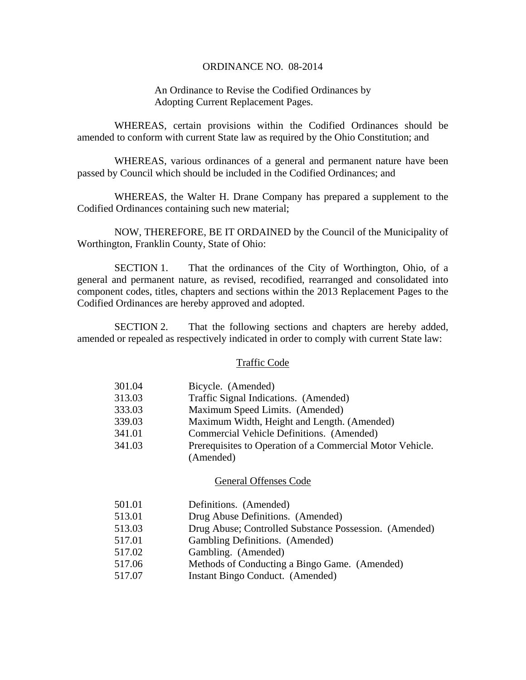### ORDINANCE NO. 08-2014

# An Ordinance to Revise the Codified Ordinances by Adopting Current Replacement Pages.

 WHEREAS, certain provisions within the Codified Ordinances should be amended to conform with current State law as required by the Ohio Constitution; and

 WHEREAS, various ordinances of a general and permanent nature have been passed by Council which should be included in the Codified Ordinances; and

 WHEREAS, the Walter H. Drane Company has prepared a supplement to the Codified Ordinances containing such new material;

NOW, THEREFORE, BE IT ORDAINED by the Council of the Municipality of Worthington, Franklin County, State of Ohio:

 SECTION 1. That the ordinances of the City of Worthington, Ohio, of a general and permanent nature, as revised, recodified, rearranged and consolidated into component codes, titles, chapters and sections within the 2013 Replacement Pages to the Codified Ordinances are hereby approved and adopted.

 SECTION 2. That the following sections and chapters are hereby added, amended or repealed as respectively indicated in order to comply with current State law:

### Traffic Code

| 301.04 | Bicycle. (Amended)                                        |
|--------|-----------------------------------------------------------|
| 313.03 | Traffic Signal Indications. (Amended)                     |
| 333.03 | Maximum Speed Limits. (Amended)                           |
| 339.03 | Maximum Width, Height and Length. (Amended)               |
| 341.01 | Commercial Vehicle Definitions. (Amended)                 |
| 341.03 | Prerequisites to Operation of a Commercial Motor Vehicle. |
|        | (Amended)                                                 |

### General Offenses Code

| 501.01 | Definitions. (Amended)                                 |
|--------|--------------------------------------------------------|
| 513.01 | Drug Abuse Definitions. (Amended)                      |
| 513.03 | Drug Abuse; Controlled Substance Possession. (Amended) |
| 517.01 | Gambling Definitions. (Amended)                        |
| 517.02 | Gambling. (Amended)                                    |
| 517.06 | Methods of Conducting a Bingo Game. (Amended)          |
| 517.07 | Instant Bingo Conduct. (Amended)                       |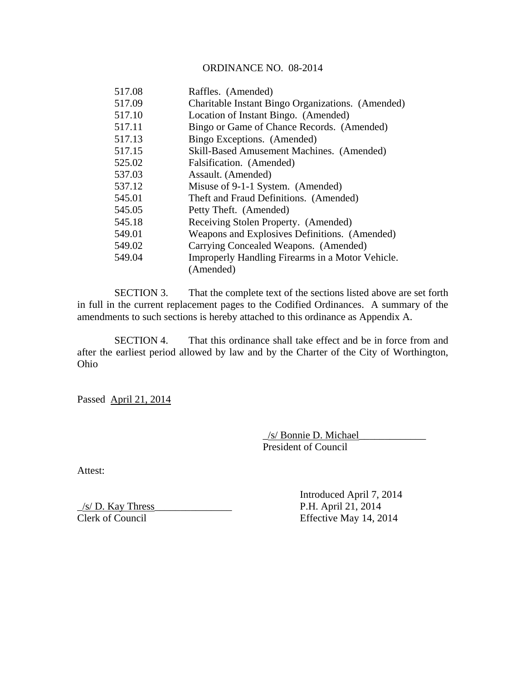# ORDINANCE NO. 08-2014

| 517.08 | Raffles. (Amended)                                |
|--------|---------------------------------------------------|
| 517.09 | Charitable Instant Bingo Organizations. (Amended) |
| 517.10 | Location of Instant Bingo. (Amended)              |
| 517.11 | Bingo or Game of Chance Records. (Amended)        |
| 517.13 | Bingo Exceptions. (Amended)                       |
| 517.15 | Skill-Based Amusement Machines. (Amended)         |
| 525.02 | Falsification. (Amended)                          |
| 537.03 | Assault. (Amended)                                |
| 537.12 | Misuse of 9-1-1 System. (Amended)                 |
| 545.01 | Theft and Fraud Definitions. (Amended)            |
| 545.05 | Petty Theft. (Amended)                            |
| 545.18 | Receiving Stolen Property. (Amended)              |
| 549.01 | Weapons and Explosives Definitions. (Amended)     |
| 549.02 | Carrying Concealed Weapons. (Amended)             |
| 549.04 | Improperly Handling Firearms in a Motor Vehicle.  |
|        | (Amended)                                         |

 SECTION 3. That the complete text of the sections listed above are set forth in full in the current replacement pages to the Codified Ordinances. A summary of the amendments to such sections is hereby attached to this ordinance as Appendix A.

 SECTION 4. That this ordinance shall take effect and be in force from and after the earliest period allowed by law and by the Charter of the City of Worthington, Ohio

Passed April 21, 2014

 \_/s/ Bonnie D. Michael\_\_\_\_\_\_\_\_\_\_\_\_\_ President of Council

Attest:

 Introduced April 7, 2014  $\frac{1}{s}$  P.H. April 21, 2014 Clerk of Council Effective May 14, 2014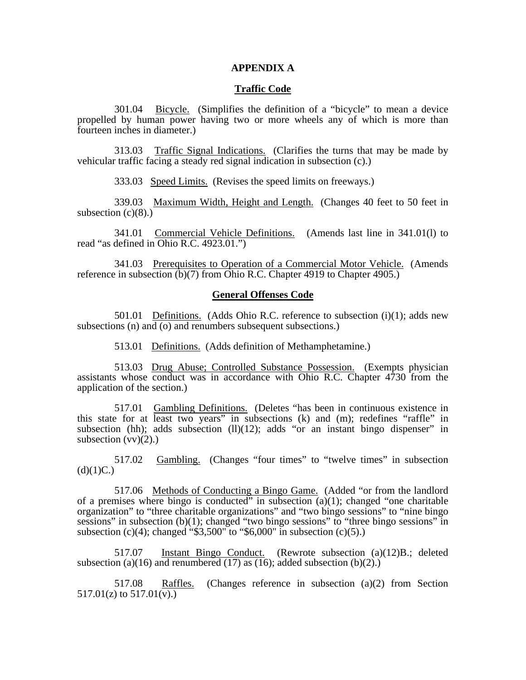### **APPENDIX A**

### **Traffic Code**

 301.04 Bicycle. (Simplifies the definition of a "bicycle" to mean a device propelled by human power having two or more wheels any of which is more than fourteen inches in diameter.)

 313.03 Traffic Signal Indications. (Clarifies the turns that may be made by vehicular traffic facing a steady red signal indication in subsection (c).)

333.03 Speed Limits. (Revises the speed limits on freeways.)

 339.03 Maximum Width, Height and Length. (Changes 40 feet to 50 feet in subsection  $(c)(8)$ .)

 341.01 Commercial Vehicle Definitions. (Amends last line in 341.01(l) to read "as defined in Ohio R.C. 4923.01.")

 341.03 Prerequisites to Operation of a Commercial Motor Vehicle. (Amends reference in subsection (b)(7) from Ohio R.C. Chapter 4919 to Chapter 4905.)

### **General Offenses Code**

501.01 Definitions. (Adds Ohio R.C. reference to subsection  $(i)(1)$ ; adds new subsections (n) and  $\overline{(o)}$  and renumbers subsequent subsections.)

513.01 Definitions. (Adds definition of Methamphetamine.)

 513.03 Drug Abuse; Controlled Substance Possession. (Exempts physician assistants whose conduct was in accordance with Ohio R.C. Chapter 4730 from the application of the section.)

 517.01 Gambling Definitions. (Deletes "has been in continuous existence in this state for at least two years" in subsections (k) and (m); redefines "raffle" in subsection (hh); adds subsection  $(11)(12)$ ; adds "or an instant bingo dispenser" in subsection  $(vv)(2)$ .)

 517.02 Gambling. (Changes "four times" to "twelve times" in subsection  $(d)(1)C.$ 

 517.06 Methods of Conducting a Bingo Game. (Added "or from the landlord of a premises where bingo is conducted" in subsection  $(a)(1)$ ; changed "one charitable" organization" to "three charitable organizations" and "two bingo sessions" to "nine bingo sessions" in subsection (b)(1); changed "two bingo sessions" to "three bingo sessions" in subsection (c)(4); changed " $$3,500"$  to " $$6,000"$  in subsection (c)(5).)

 517.07 Instant Bingo Conduct. (Rewrote subsection (a)(12)B.; deleted subsection (a)(16) and renumbered (17) as (16); added subsection (b)(2).)

 517.08 Raffles. (Changes reference in subsection (a)(2) from Section  $517.01(z)$  to  $517.01(v)$ .